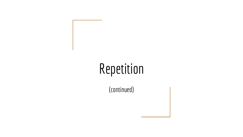# Repetition

(continued)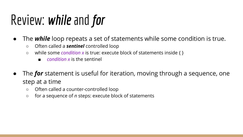# Review: *while* and *for*

- The *while* loop repeats a set of statements while some condition is true.
	- Often called a *sentinel* controlled loop
	- while some *condition x* is true: execute block of statements inside { }
		- *condition x* is the sentinel
- The **for** statement is useful for iteration, moving through a sequence, one step at a time
	- Often called a counter-controlled loop
	- for a sequence of *n* steps: execute block of statements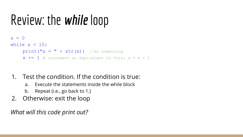## Review: the *while* loop



#### 1. Test the condition. If the condition is true:

- a. Execute the statements inside the while block
- b. Repeat (i.e., go back to 1.)
- 2. Otherwise: exit the loop

*What will this code print out?*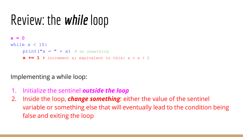## Review: the *while* loop



Implementing a while loop:

- 1. Initialize the sentinel *outside the loop*
- 2. Inside the loop, *change something*: either the value of the sentinel variable or something else that will eventually lead to the condition being false and exiting the loop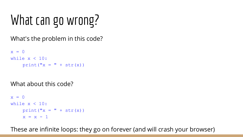# What can go wrong?

What's the problem in this code?

```
x = 0while x < 10:
print("x = " + str(x))
```
What about this code?

```
x = 0while x < 10:
print ("x =" + str(x))
x = x - 1
```
These are infinite loops: they go on forever (and will crash your browser)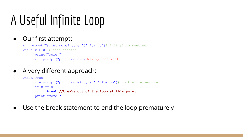## A Useful Infinite Loop

#### ● Our first attempt:

 $x =$  prompt ("print more? type '0' for no") # initialize sentinel while  $x > 0$ : # test sentinel print("more!")  $x =$  prompt ("print more?") #change sentinel

#### ● A very different approach:

while True.  $x =$  prompt ("print more? type '0' for no") # initialize sentinel if  $x == 0$ **break //breaks out of the loop at this point** print("more!")

● Use the break statement to end the loop prematurely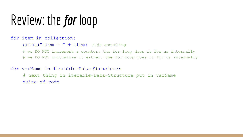## Review: the *for* loop

#### for item in collection:

 $print("item = " + item)$  //do something

# we DO NOT increment a counter: the for loop does it for us internally

# we DO NOT initialize it either: the for loop does it for us internally

#### for varName in iterable-Data-Structure:

# next thing in iterable-Data-Structure put in varName suite of code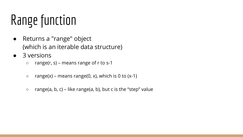# Range function

- Returns a "range" object (which is an iterable data structure)
- 3 versions
	- $\circ$  range(r, s) means range of r to s-1
	- $\circ$  range(x) means range(0, x), which is 0 to (x-1)
	- $\circ$  range(a, b, c) like range(a, b), but c is the "step" value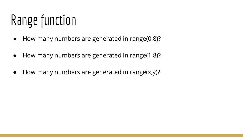# Range function

- How many numbers are generated in range(0,8)?
- How many numbers are generated in range(1,8)?
- How many numbers are generated in range(x,y)?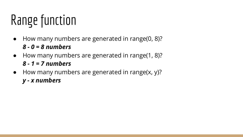# Range function

- How many numbers are generated in range(0, 8)? *8 - 0 = 8 numbers*
- How many numbers are generated in range(1, 8)? *8 - 1 = 7 numbers*
- How many numbers are generated in range(x, y)? *y - x numbers*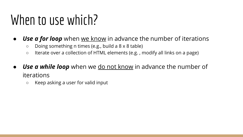### When to use which?

- *Use a for loop* when we know in advance the number of iterations
	- Doing something n times (e.g., build a 8 x 8 table)
	- Iterate over a collection of HTML elements (e.g. , modify all links on a page)
- **Use a while loop** when we <u>do not know</u> in advance the number of iterations
	- Keep asking a user for valid input